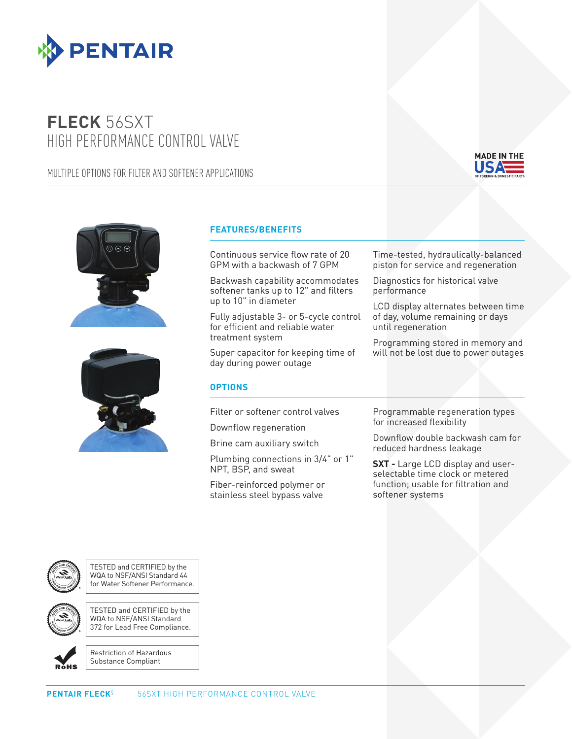

## **FLECK** 56SXT HIGH PERFORMANCE CONTROL VALVE

## MULTIPLE OPTIONS FOR FILTER AND SOFTENER APPLICATIONS



Coated Stock - CMYK





## **FEATURES/BENEFITS**

Continuous service flow rate of 20 GPM with a backwash of 7 GPM

Backwash capability accommodates softener tanks up to 12" and filters up to 10" in diameter

Fully adjustable 3- or 5-cycle control for efficient and reliable water treatment system

Super capacitor for keeping time of day during power outage

## **OPTIONS**

Filter or softener control valves

Downflow regeneration

Brine cam auxiliary switch

Plumbing connections in 3/4" or 1" NPT, BSP, and sweat

Fiber-reinforced polymer or stainless steel bypass valve

Time-tested, hydraulically-balanced piston for service and regeneration

Diagnostics for historical valve performance

LCD display alternates between time of day, volume remaining or days until regeneration

Programming stored in memory and will not be lost due to power outages

Programmable regeneration types for increased flexibility

Downflow double backwash cam for reduced hardness leakage

**SXT - Large LCD display and user**selectable time clock or metered function; usable for filtration and softener systems



TESTED and CERTIFIED by the WQA to NSF/ANSI Standard 44 for Water Softener Performance.

TESTED and CERTIFIED by the WQA to NSF/ANSI Standard 372 for Lead Free Compliance.



Restriction of Hazardous Substance Compliant